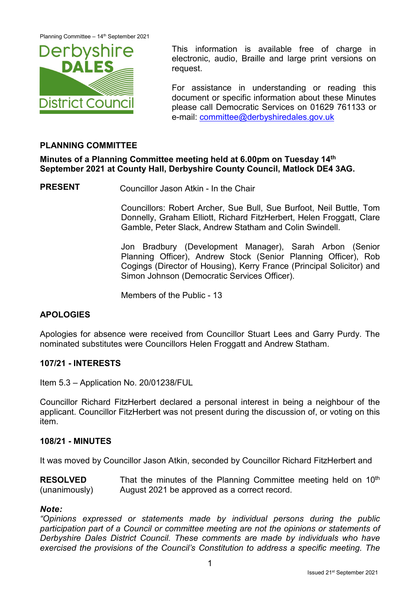

This information is available free of charge in electronic, audio, Braille and large print versions on request.

For assistance in understanding or reading this document or specific information about these Minutes please call Democratic Services on 01629 761133 or e-mail: [committee@derbyshiredales.gov.uk](mailto:committee@derbyshiredales.gov.uk)

# **PLANNING COMMITTEE**

# **Minutes of a Planning Committee meeting held at 6.00pm on Tuesday 14th September 2021 at County Hall, Derbyshire County Council, Matlock DE4 3AG.**

**PRESENT** Councillor Jason Atkin - In the Chair

Councillors: Robert Archer, Sue Bull, Sue Burfoot, Neil Buttle, Tom Donnelly, Graham Elliott, Richard FitzHerbert, Helen Froggatt, Clare Gamble, Peter Slack, Andrew Statham and Colin Swindell.

Jon Bradbury (Development Manager), Sarah Arbon (Senior Planning Officer), Andrew Stock (Senior Planning Officer), Rob Cogings (Director of Housing), Kerry France (Principal Solicitor) and Simon Johnson (Democratic Services Officer).

Members of the Public - 13

## **APOLOGIES**

Apologies for absence were received from Councillor Stuart Lees and Garry Purdy. The nominated substitutes were Councillors Helen Froggatt and Andrew Statham.

#### **107/21 - INTERESTS**

Item 5.3 – Application No. 20/01238/FUL

Councillor Richard FitzHerbert declared a personal interest in being a neighbour of the applicant. Councillor FitzHerbert was not present during the discussion of, or voting on this item.

#### **108/21 - MINUTES**

It was moved by Councillor Jason Atkin, seconded by Councillor Richard FitzHerbert and

**RESOLVED** (unanimously) That the minutes of the Planning Committee meeting held on  $10<sup>th</sup>$ August 2021 be approved as a correct record.

#### *Note:*

*"Opinions expressed or statements made by individual persons during the public participation part of a Council or committee meeting are not the opinions or statements of Derbyshire Dales District Council. These comments are made by individuals who have exercised the provisions of the Council's Constitution to address a specific meeting. The*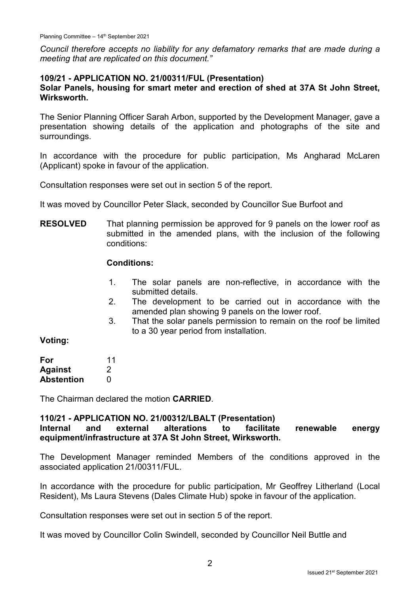*Council therefore accepts no liability for any defamatory remarks that are made during a meeting that are replicated on this document."*

#### **109/21 - APPLICATION NO. 21/00311/FUL (Presentation)**

### **Solar Panels, housing for smart meter and erection of shed at 37A St John Street, Wirksworth.**

The Senior Planning Officer Sarah Arbon, supported by the Development Manager, gave a presentation showing details of the application and photographs of the site and surroundings.

In accordance with the procedure for public participation, Ms Angharad McLaren (Applicant) spoke in favour of the application.

Consultation responses were set out in section 5 of the report.

It was moved by Councillor Peter Slack, seconded by Councillor Sue Burfoot and

**RESOLVED** That planning permission be approved for 9 panels on the lower roof as submitted in the amended plans, with the inclusion of the following conditions:

### **Conditions:**

- 1. The solar panels are non-reflective, in accordance with the submitted details.
- 2. The development to be carried out in accordance with the amended plan showing 9 panels on the lower roof.
- 3. That the solar panels permission to remain on the roof be limited to a 30 year period from installation.

#### **Voting:**

| For               | 11 |
|-------------------|----|
| <b>Against</b>    | 2  |
| <b>Abstention</b> | O  |

The Chairman declared the motion **CARRIED**.

#### **110/21 - APPLICATION NO. 21/00312/LBALT (Presentation) Internal and external alterations to facilitate renewable energy equipment/infrastructure at 37A St John Street, Wirksworth.**

The Development Manager reminded Members of the conditions approved in the associated application 21/00311/FUL.

In accordance with the procedure for public participation, Mr Geoffrey Litherland (Local Resident), Ms Laura Stevens (Dales Climate Hub) spoke in favour of the application.

Consultation responses were set out in section 5 of the report.

It was moved by Councillor Colin Swindell, seconded by Councillor Neil Buttle and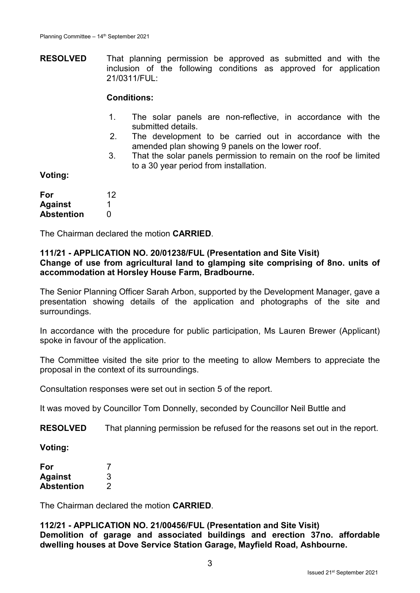**RESOLVED** That planning permission be approved as submitted and with the inclusion of the following conditions as approved for application 21/0311/FUL:

#### **Conditions:**

- 1. The solar panels are non-reflective, in accordance with the submitted details.
- 2. The development to be carried out in accordance with the amended plan showing 9 panels on the lower roof.
- 3. That the solar panels permission to remain on the roof be limited to a 30 year period from installation.

**Voting:**

| For               | 12 |
|-------------------|----|
| <b>Against</b>    |    |
| <b>Abstention</b> | O  |

The Chairman declared the motion **CARRIED**.

# **111/21 - APPLICATION NO. 20/01238/FUL (Presentation and Site Visit)**

**Change of use from agricultural land to glamping site comprising of 8no. units of accommodation at Horsley House Farm, Bradbourne.**

The Senior Planning Officer Sarah Arbon, supported by the Development Manager, gave a presentation showing details of the application and photographs of the site and surroundings.

In accordance with the procedure for public participation, Ms Lauren Brewer (Applicant) spoke in favour of the application.

The Committee visited the site prior to the meeting to allow Members to appreciate the proposal in the context of its surroundings.

Consultation responses were set out in section 5 of the report.

It was moved by Councillor Tom Donnelly, seconded by Councillor Neil Buttle and

**RESOLVED** That planning permission be refused for the reasons set out in the report.

**Voting:**

| For            |   |
|----------------|---|
| <b>Against</b> | 3 |
| Abstention     | 2 |

The Chairman declared the motion **CARRIED**.

### **112/21 - APPLICATION NO. 21/00456/FUL (Presentation and Site Visit) Demolition of garage and associated buildings and erection 37no. affordable dwelling houses at Dove Service Station Garage, Mayfield Road, Ashbourne.**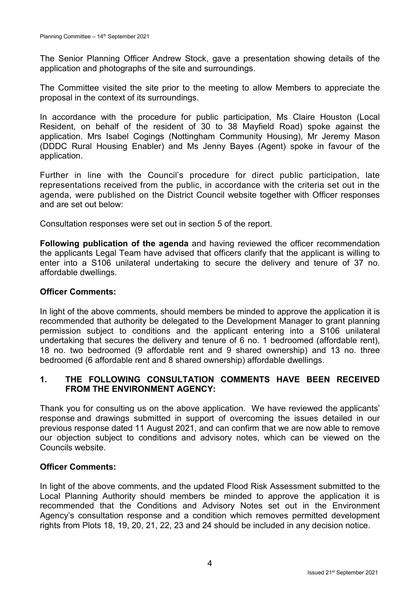The Senior Planning Officer Andrew Stock, gave a presentation showing details of the application and photographs of the site and surroundings.

The Committee visited the site prior to the meeting to allow Members to appreciate the proposal in the context of its surroundings.

In accordance with the procedure for public participation, Ms Claire Houston (Local Resident, on behalf of the resident of 30 to 38 Mayfield Road) spoke against the application. Mrs Isabel Cogings (Nottingham Community Housing), Mr Jeremy Mason (DDDC Rural Housing Enabler) and Ms Jenny Bayes (Agent) spoke in favour of the application.

Further in line with the Council's procedure for direct public participation, late representations received from the public, in accordance with the criteria set out in the agenda, were published on the District Council website together with Officer responses and are set out below:

Consultation responses were set out in section 5 of the report.

**Following publication of the agenda** and having reviewed the officer recommendation the applicants Legal Team have advised that officers clarify that the applicant is willing to enter into a S106 unilateral undertaking to secure the delivery and tenure of 37 no. affordable dwellings.

### **Officer Comments:**

In light of the above comments, should members be minded to approve the application it is recommended that authority be delegated to the Development Manager to grant planning permission subject to conditions and the applicant entering into a S106 unilateral undertaking that secures the delivery and tenure of 6 no. 1 bedroomed (affordable rent), 18 no. two bedroomed (9 affordable rent and 9 shared ownership) and 13 no. three bedroomed (6 affordable rent and 8 shared ownership) affordable dwellings.

## **1. THE FOLLOWING CONSULTATION COMMENTS HAVE BEEN RECEIVED FROM THE ENVIRONMENT AGENCY:**

Thank you for consulting us on the above application. We have reviewed the applicants' response and drawings submitted in support of overcoming the issues detailed in our previous response dated 11 August 2021, and can confirm that we are now able to remove our objection subject to conditions and advisory notes, which can be viewed on the Councils website.

## **Officer Comments:**

In light of the above comments, and the updated Flood Risk Assessment submitted to the Local Planning Authority should members be minded to approve the application it is recommended that the Conditions and Advisory Notes set out in the Environment Agency's consultation response and a condition which removes permitted development rights from Plots 18, 19, 20, 21, 22, 23 and 24 should be included in any decision notice.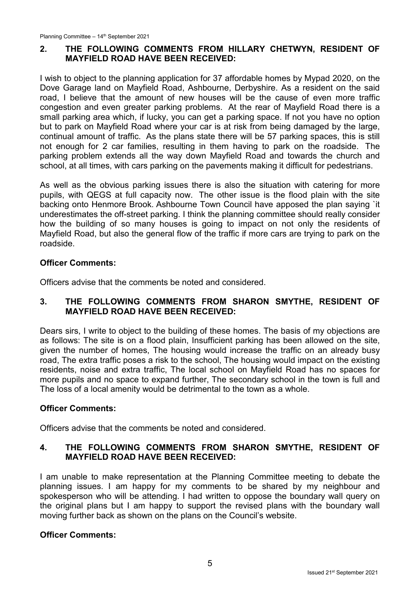# **2. THE FOLLOWING COMMENTS FROM HILLARY CHETWYN, RESIDENT OF MAYFIELD ROAD HAVE BEEN RECEIVED:**

I wish to object to the planning application for 37 affordable homes by Mypad 2020, on the Dove Garage land on Mayfield Road, Ashbourne, Derbyshire. As a resident on the said road, I believe that the amount of new houses will be the cause of even more traffic congestion and even greater parking problems. At the rear of Mayfield Road there is a small parking area which, if lucky, you can get a parking space. If not you have no option but to park on Mayfield Road where your car is at risk from being damaged by the large, continual amount of traffic. As the plans state there will be 57 parking spaces, this is still not enough for 2 car families, resulting in them having to park on the roadside. The parking problem extends all the way down Mayfield Road and towards the church and school, at all times, with cars parking on the pavements making it difficult for pedestrians.

As well as the obvious parking issues there is also the situation with catering for more pupils, with QEGS at full capacity now. The other issue is the flood plain with the site backing onto Henmore Brook. Ashbourne Town Council have apposed the plan saying `it underestimates the off-street parking. I think the planning committee should really consider how the building of so many houses is going to impact on not only the residents of Mayfield Road, but also the general flow of the traffic if more cars are trying to park on the roadside.

## **Officer Comments:**

Officers advise that the comments be noted and considered.

## **3. THE FOLLOWING COMMENTS FROM SHARON SMYTHE, RESIDENT OF MAYFIELD ROAD HAVE BEEN RECEIVED:**

Dears sirs, I write to object to the building of these homes. The basis of my objections are as follows: The site is on a flood plain, Insufficient parking has been allowed on the site, given the number of homes, The housing would increase the traffic on an already busy road, The extra traffic poses a risk to the school, The housing would impact on the existing residents, noise and extra traffic, The local school on Mayfield Road has no spaces for more pupils and no space to expand further, The secondary school in the town is full and The loss of a local amenity would be detrimental to the town as a whole.

## **Officer Comments:**

Officers advise that the comments be noted and considered.

## **4. THE FOLLOWING COMMENTS FROM SHARON SMYTHE, RESIDENT OF MAYFIELD ROAD HAVE BEEN RECEIVED:**

I am unable to make representation at the Planning Committee meeting to debate the planning issues. I am happy for my comments to be shared by my neighbour and spokesperson who will be attending. I had written to oppose the boundary wall query on the original plans but I am happy to support the revised plans with the boundary wall moving further back as shown on the plans on the Council's website.

## **Officer Comments:**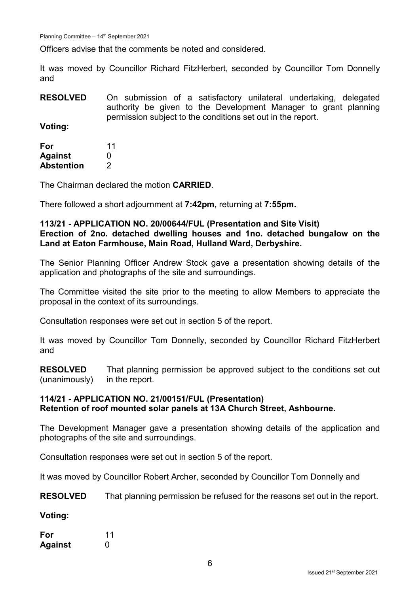Planning Committee – 14th September 2021

Officers advise that the comments be noted and considered.

It was moved by Councillor Richard FitzHerbert, seconded by Councillor Tom Donnelly and

**RESOLVED** On submission of a satisfactory unilateral undertaking, delegated authority be given to the Development Manager to grant planning permission subject to the conditions set out in the report.

**Voting:**

| For            | 11 |
|----------------|----|
| <b>Against</b> | O  |
| Abstention     | 2  |

The Chairman declared the motion **CARRIED**.

There followed a short adjournment at **7:42pm,** returning at **7:55pm.**

#### **113/21 - APPLICATION NO. 20/00644/FUL (Presentation and Site Visit) Erection of 2no. detached dwelling houses and 1no. detached bungalow on the Land at Eaton Farmhouse, Main Road, Hulland Ward, Derbyshire.**

The Senior Planning Officer Andrew Stock gave a presentation showing details of the application and photographs of the site and surroundings.

The Committee visited the site prior to the meeting to allow Members to appreciate the proposal in the context of its surroundings.

Consultation responses were set out in section 5 of the report.

It was moved by Councillor Tom Donnelly, seconded by Councillor Richard FitzHerbert and

**RESOLVED** (unanimously) That planning permission be approved subject to the conditions set out in the report.

## **114/21 - APPLICATION NO. 21/00151/FUL (Presentation) Retention of roof mounted solar panels at 13A Church Street, Ashbourne.**

The Development Manager gave a presentation showing details of the application and photographs of the site and surroundings.

Consultation responses were set out in section 5 of the report.

It was moved by Councillor Robert Archer, seconded by Councillor Tom Donnelly and

**RESOLVED** That planning permission be refused for the reasons set out in the report.

**Voting:**

| For            | 11 |
|----------------|----|
| <b>Against</b> | O  |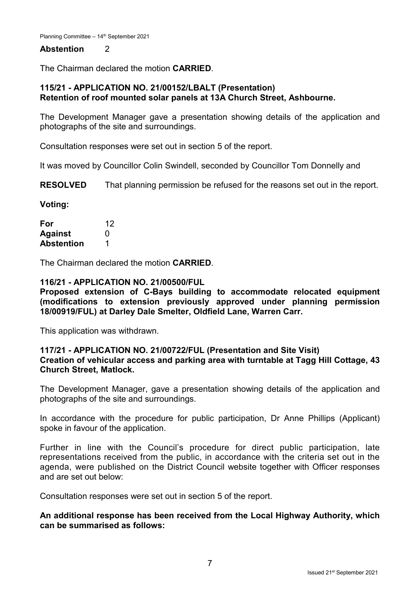### **Abstention** 2

The Chairman declared the motion **CARRIED**.

## **115/21 - APPLICATION NO. 21/00152/LBALT (Presentation) Retention of roof mounted solar panels at 13A Church Street, Ashbourne.**

The Development Manager gave a presentation showing details of the application and photographs of the site and surroundings.

Consultation responses were set out in section 5 of the report.

It was moved by Councillor Colin Swindell, seconded by Councillor Tom Donnelly and

**RESOLVED** That planning permission be refused for the reasons set out in the report.

**Voting:**

| For               | 12 |
|-------------------|----|
| <b>Against</b>    | O  |
| <b>Abstention</b> | 1  |

The Chairman declared the motion **CARRIED**.

#### **116/21 - APPLICATION NO. 21/00500/FUL**

**Proposed extension of C-Bays building to accommodate relocated equipment (modifications to extension previously approved under planning permission 18/00919/FUL) at Darley Dale Smelter, Oldfield Lane, Warren Carr.**

This application was withdrawn.

#### **117/21 - APPLICATION NO. 21/00722/FUL (Presentation and Site Visit) Creation of vehicular access and parking area with turntable at Tagg Hill Cottage, 43 Church Street, Matlock.**

The Development Manager, gave a presentation showing details of the application and photographs of the site and surroundings.

In accordance with the procedure for public participation, Dr Anne Phillips (Applicant) spoke in favour of the application.

Further in line with the Council's procedure for direct public participation, late representations received from the public, in accordance with the criteria set out in the agenda, were published on the District Council website together with Officer responses and are set out below:

Consultation responses were set out in section 5 of the report.

**An additional response has been received from the Local Highway Authority, which can be summarised as follows:**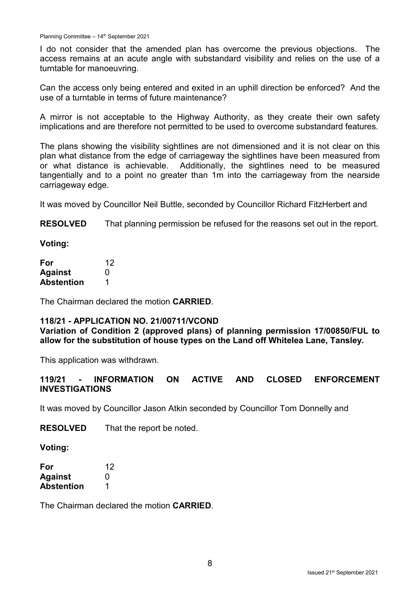I do not consider that the amended plan has overcome the previous objections. The access remains at an acute angle with substandard visibility and relies on the use of a turntable for manoeuvring.

Can the access only being entered and exited in an uphill direction be enforced? And the use of a turntable in terms of future maintenance?

A mirror is not acceptable to the Highway Authority, as they create their own safety implications and are therefore not permitted to be used to overcome substandard features.

The plans showing the visibility sightlines are not dimensioned and it is not clear on this plan what distance from the edge of carriageway the sightlines have been measured from or what distance is achievable. Additionally, the sightlines need to be measured tangentially and to a point no greater than 1m into the carriageway from the nearside carriageway edge.

It was moved by Councillor Neil Buttle, seconded by Councillor Richard FitzHerbert and

**RESOLVED** That planning permission be refused for the reasons set out in the report.

**Voting:**

| For               | 12 |
|-------------------|----|
| <b>Against</b>    | O  |
| <b>Abstention</b> |    |

The Chairman declared the motion **CARRIED**.

## **118/21 - APPLICATION NO. 21/00711/VCOND**

**Variation of Condition 2 (approved plans) of planning permission 17/00850/FUL to allow for the substitution of house types on the Land off Whitelea Lane, Tansley.**

This application was withdrawn.

## **119/21 - INFORMATION ON ACTIVE AND CLOSED ENFORCEMENT INVESTIGATIONS**

It was moved by Councillor Jason Atkin seconded by Councillor Tom Donnelly and

**RESOLVED** That the report be noted.

**Voting:**

| For        | 12 |
|------------|----|
| Against    | O  |
| Abstention | 1  |

The Chairman declared the motion **CARRIED**.